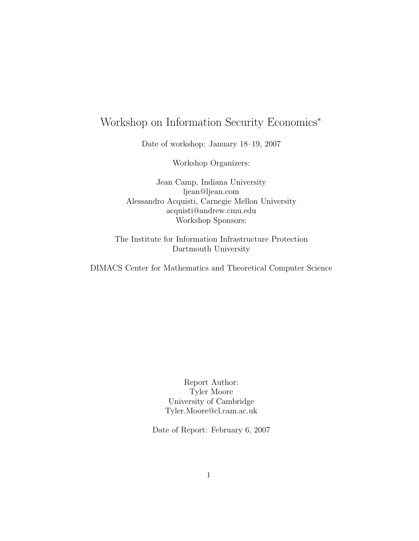# Workshop on Information Security Economics<sup>∗</sup>

Date of workshop: January 18–19, 2007

Workshop Organizers:

Jean Camp, Indiana University ljean@ljean.com Alessandro Acquisti, Carnegie Mellon University acquisti@andrew.cmu.edu Workshop Sponsors:

The Institute for Information Infrastructure Protection Dartmouth University

DIMACS Center for Mathematics and Theoretical Computer Science

Report Author: Tyler Moore University of Cambridge Tyler.Moore@cl.cam.ac.uk

Date of Report: February 6, 2007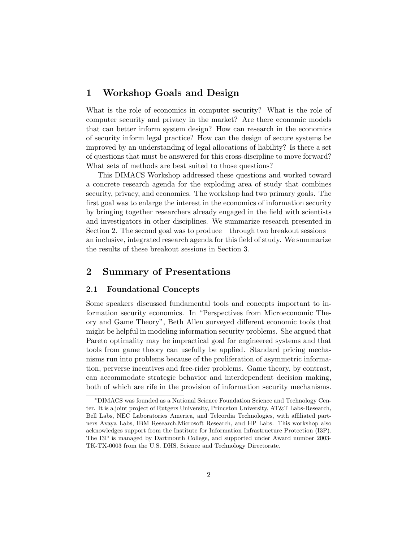### 1 Workshop Goals and Design

What is the role of economics in computer security? What is the role of computer security and privacy in the market? Are there economic models that can better inform system design? How can research in the economics of security inform legal practice? How can the design of secure systems be improved by an understanding of legal allocations of liability? Is there a set of questions that must be answered for this cross-discipline to move forward? What sets of methods are best suited to those questions?

This DIMACS Workshop addressed these questions and worked toward a concrete research agenda for the exploding area of study that combines security, privacy, and economics. The workshop had two primary goals. The first goal was to enlarge the interest in the economics of information security by bringing together researchers already engaged in the field with scientists and investigators in other disciplines. We summarize research presented in Section 2. The second goal was to produce – through two breakout sessions – an inclusive, integrated research agenda for this field of study. We summarize the results of these breakout sessions in Section 3.

## 2 Summary of Presentations

#### 2.1 Foundational Concepts

Some speakers discussed fundamental tools and concepts important to information security economics. In "Perspectives from Microeconomic Theory and Game Theory", Beth Allen surveyed different economic tools that might be helpful in modeling information security problems. She argued that Pareto optimality may be impractical goal for engineered systems and that tools from game theory can usefully be applied. Standard pricing mechanisms run into problems because of the proliferation of asymmetric information, perverse incentives and free-rider problems. Game theory, by contrast, can accommodate strategic behavior and interdependent decision making, both of which are rife in the provision of information security mechanisms.

<sup>∗</sup>DIMACS was founded as a National Science Foundation Science and Technology Center. It is a joint project of Rutgers University, Princeton University, AT&T Labs-Research, Bell Labs, NEC Laboratories America, and Telcordia Technologies, with affiliated partners Avaya Labs, IBM Research,Microsoft Research, and HP Labs. This workshop also acknowledges support from the Institute for Information Infrastructure Protection (I3P). The I3P is managed by Dartmouth College, and supported under Award number 2003- TK-TX-0003 from the U.S. DHS, Science and Technology Directorate.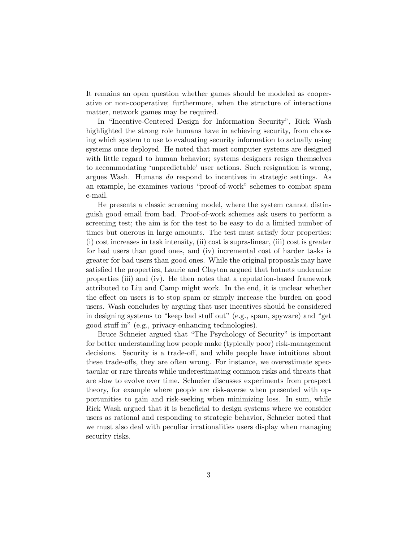It remains an open question whether games should be modeled as cooperative or non-cooperative; furthermore, when the structure of interactions matter, network games may be required.

In "Incentive-Centered Design for Information Security", Rick Wash highlighted the strong role humans have in achieving security, from choosing which system to use to evaluating security information to actually using systems once deployed. He noted that most computer systems are designed with little regard to human behavior; systems designers resign themselves to accommodating 'unpredictable' user actions. Such resignation is wrong, argues Wash. Humans do respond to incentives in strategic settings. As an example, he examines various "proof-of-work" schemes to combat spam e-mail.

He presents a classic screening model, where the system cannot distinguish good email from bad. Proof-of-work schemes ask users to perform a screening test; the aim is for the test to be easy to do a limited number of times but onerous in large amounts. The test must satisfy four properties: (i) cost increases in task intensity, (ii) cost is supra-linear, (iii) cost is greater for bad users than good ones, and (iv) incremental cost of harder tasks is greater for bad users than good ones. While the original proposals may have satisfied the properties, Laurie and Clayton argued that botnets undermine properties (iii) and (iv). He then notes that a reputation-based framework attributed to Liu and Camp might work. In the end, it is unclear whether the effect on users is to stop spam or simply increase the burden on good users. Wash concludes by arguing that user incentives should be considered in designing systems to "keep bad stuff out" (e.g., spam, spyware) and "get good stuff in" (e.g., privacy-enhancing technologies).

Bruce Schneier argued that "The Psychology of Security" is important for better understanding how people make (typically poor) risk-management decisions. Security is a trade-off, and while people have intuitions about these trade-offs, they are often wrong. For instance, we overestimate spectacular or rare threats while underestimating common risks and threats that are slow to evolve over time. Schneier discusses experiments from prospect theory, for example where people are risk-averse when presented with opportunities to gain and risk-seeking when minimizing loss. In sum, while Rick Wash argued that it is beneficial to design systems where we consider users as rational and responding to strategic behavior, Schneier noted that we must also deal with peculiar irrationalities users display when managing security risks.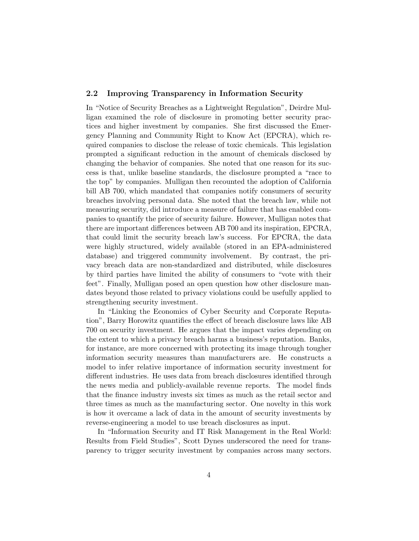#### 2.2 Improving Transparency in Information Security

In "Notice of Security Breaches as a Lightweight Regulation", Deirdre Mulligan examined the role of disclosure in promoting better security practices and higher investment by companies. She first discussed the Emergency Planning and Community Right to Know Act (EPCRA), which required companies to disclose the release of toxic chemicals. This legislation prompted a significant reduction in the amount of chemicals disclosed by changing the behavior of companies. She noted that one reason for its success is that, unlike baseline standards, the disclosure prompted a "race to the top" by companies. Mulligan then recounted the adoption of California bill AB 700, which mandated that companies notify consumers of security breaches involving personal data. She noted that the breach law, while not measuring security, did introduce a measure of failure that has enabled companies to quantify the price of security failure. However, Mulligan notes that there are important differences between AB 700 and its inspiration, EPCRA, that could limit the security breach law's success. For EPCRA, the data were highly structured, widely available (stored in an EPA-administered database) and triggered community involvement. By contrast, the privacy breach data are non-standardized and distributed, while disclosures by third parties have limited the ability of consumers to "vote with their feet". Finally, Mulligan posed an open question how other disclosure mandates beyond those related to privacy violations could be usefully applied to strengthening security investment.

In "Linking the Economics of Cyber Security and Corporate Reputation", Barry Horowitz quantifies the effect of breach disclosure laws like AB 700 on security investment. He argues that the impact varies depending on the extent to which a privacy breach harms a business's reputation. Banks, for instance, are more concerned with protecting its image through tougher information security measures than manufacturers are. He constructs a model to infer relative importance of information security investment for different industries. He uses data from breach disclosures identified through the news media and publicly-available revenue reports. The model finds that the finance industry invests six times as much as the retail sector and three times as much as the manufacturing sector. One novelty in this work is how it overcame a lack of data in the amount of security investments by reverse-engineering a model to use breach disclosures as input.

In "Information Security and IT Risk Management in the Real World: Results from Field Studies", Scott Dynes underscored the need for transparency to trigger security investment by companies across many sectors.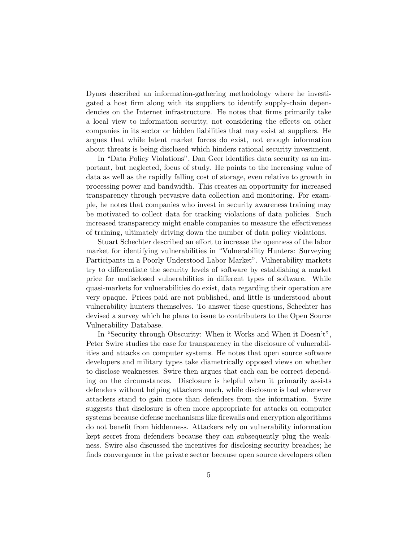Dynes described an information-gathering methodology where he investigated a host firm along with its suppliers to identify supply-chain dependencies on the Internet infrastructure. He notes that firms primarily take a local view to information security, not considering the effects on other companies in its sector or hidden liabilities that may exist at suppliers. He argues that while latent market forces do exist, not enough information about threats is being disclosed which hinders rational security investment.

In "Data Policy Violations", Dan Geer identifies data security as an important, but neglected, focus of study. He points to the increasing value of data as well as the rapidly falling cost of storage, even relative to growth in processing power and bandwidth. This creates an opportunity for increased transparency through pervasive data collection and monitoring. For example, he notes that companies who invest in security awareness training may be motivated to collect data for tracking violations of data policies. Such increased transparency might enable companies to measure the effectiveness of training, ultimately driving down the number of data policy violations.

Stuart Schechter described an effort to increase the openness of the labor market for identifying vulnerabilities in "Vulnerability Hunters: Surveying Participants in a Poorly Understood Labor Market". Vulnerability markets try to differentiate the security levels of software by establishing a market price for undisclosed vulnerabilities in different types of software. While quasi-markets for vulnerabilities do exist, data regarding their operation are very opaque. Prices paid are not published, and little is understood about vulnerability hunters themselves. To answer these questions, Schechter has devised a survey which he plans to issue to contributers to the Open Source Vulnerability Database.

In "Security through Obscurity: When it Works and When it Doesn't", Peter Swire studies the case for transparency in the disclosure of vulnerabilities and attacks on computer systems. He notes that open source software developers and military types take diametrically opposed views on whether to disclose weaknesses. Swire then argues that each can be correct depending on the circumstances. Disclosure is helpful when it primarily assists defenders without helping attackers much, while disclosure is bad whenever attackers stand to gain more than defenders from the information. Swire suggests that disclosure is often more appropriate for attacks on computer systems because defense mechanisms like firewalls and encryption algorithms do not benefit from hiddenness. Attackers rely on vulnerability information kept secret from defenders because they can subsequently plug the weakness. Swire also discussed the incentives for disclosing security breaches; he finds convergence in the private sector because open source developers often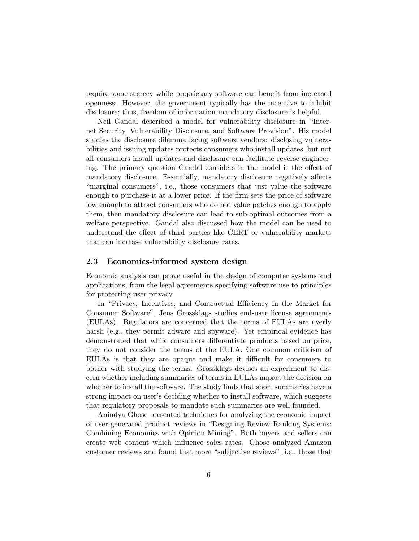require some secrecy while proprietary software can benefit from increased openness. However, the government typically has the incentive to inhibit disclosure; thus, freedom-of-information mandatory disclosure is helpful.

Neil Gandal described a model for vulnerability disclosure in "Internet Security, Vulnerability Disclosure, and Software Provision". His model studies the disclosure dilemma facing software vendors: disclosing vulnerabilities and issuing updates protects consumers who install updates, but not all consumers install updates and disclosure can facilitate reverse engineering. The primary question Gandal considers in the model is the effect of mandatory disclosure. Essentially, mandatory disclosure negatively affects "marginal consumers", i.e., those consumers that just value the software enough to purchase it at a lower price. If the firm sets the price of software low enough to attract consumers who do not value patches enough to apply them, then mandatory disclosure can lead to sub-optimal outcomes from a welfare perspective. Gandal also discussed how the model can be used to understand the effect of third parties like CERT or vulnerability markets that can increase vulnerability disclosure rates.

#### 2.3 Economics-informed system design

Economic analysis can prove useful in the design of computer systems and applications, from the legal agreements specifying software use to principles for protecting user privacy.

In "Privacy, Incentives, and Contractual Efficiency in the Market for Consumer Software", Jens Grossklags studies end-user license agreements (EULAs). Regulators are concerned that the terms of EULAs are overly harsh (e.g., they permit adware and spyware). Yet empirical evidence has demonstrated that while consumers differentiate products based on price, they do not consider the terms of the EULA. One common criticism of EULAs is that they are opaque and make it difficult for consumers to bother with studying the terms. Grossklags devises an experiment to discern whether including summaries of terms in EULAs impact the decision on whether to install the software. The study finds that short summaries have a strong impact on user's deciding whether to install software, which suggests that regulatory proposals to mandate such summaries are well-founded.

Anindya Ghose presented techniques for analyzing the economic impact of user-generated product reviews in "Designing Review Ranking Systems: Combining Economics with Opinion Mining". Both buyers and sellers can create web content which influence sales rates. Ghose analyzed Amazon customer reviews and found that more "subjective reviews", i.e., those that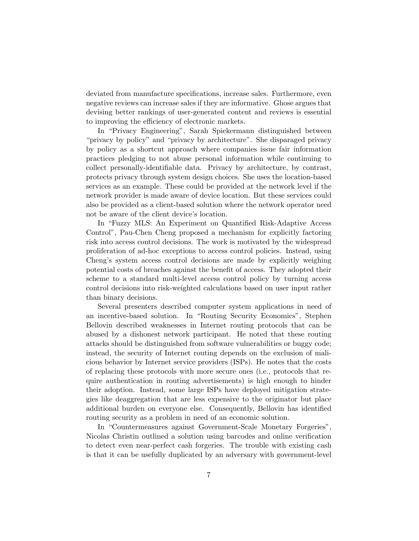deviated from manufacture specifications, increase sales. Furthermore, even negative reviews can increase sales if they are informative. Ghose argues that devising better rankings of user-generated content and reviews is essential to improving the efficiency of electronic markets.

In "Privacy Engineering", Sarah Spiekermann distinguished between "privacy by policy" and "privacy by architecture". She disparaged privacy by policy as a shortcut approach where companies issue fair information practices pledging to not abuse personal information while continuing to collect personally-identifiable data. Privacy by architecture, by contrast, protects privacy through system design choices. She uses the location-based services as an example. These could be provided at the network level if the network provider is made aware of device location. But these services could also be provided as a client-based solution where the network operator need not be aware of the client device's location.

In "Fuzzy MLS: An Experiment on Quantified Risk-Adaptive Access Control", Pau-Chen Cheng proposed a mechanism for explicitly factoring risk into access control decisions. The work is motivated by the widespread proliferation of ad-hoc exceptions to access control policies. Instead, using Cheng's system access control decisions are made by explicitly weighing potential costs of breaches against the benefit of access. They adopted their scheme to a standard multi-level access control policy by turning access control decisions into risk-weighted calculations based on user input rather than binary decisions.

Several presenters described computer system applications in need of an incentive-based solution. In "Routing Security Economics", Stephen Bellovin described weaknesses in Internet routing protocols that can be abused by a dishonest network participant. He noted that these routing attacks should be distinguished from software vulnerabilities or buggy code; instead, the security of Internet routing depends on the exclusion of malicious behavior by Internet service providers (ISPs). He notes that the costs of replacing these protocols with more secure ones (i.e., protocols that require authentication in routing advertisements) is high enough to hinder their adoption. Instead, some large ISPs have deployed mitigation strategies like deaggregation that are less expensive to the originator but place additional burden on everyone else. Consequently, Bellovin has identified routing security as a problem in need of an economic solution.

In "Countermeasures against Government-Scale Monetary Forgeries", Nicolas Christin outlined a solution using barcodes and online verification to detect even near-perfect cash forgeries. The trouble with existing cash is that it can be usefully duplicated by an adversary with government-level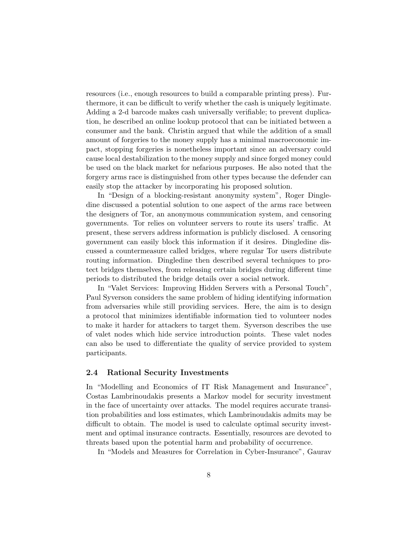resources (i.e., enough resources to build a comparable printing press). Furthermore, it can be difficult to verify whether the cash is uniquely legitimate. Adding a 2-d barcode makes cash universally verifiable; to prevent duplication, he described an online lookup protocol that can be initiated between a consumer and the bank. Christin argued that while the addition of a small amount of forgeries to the money supply has a minimal macroeconomic impact, stopping forgeries is nonetheless important since an adversary could cause local destabilization to the money supply and since forged money could be used on the black market for nefarious purposes. He also noted that the forgery arms race is distinguished from other types because the defender can easily stop the attacker by incorporating his proposed solution.

In "Design of a blocking-resistant anonymity system", Roger Dingledine discussed a potential solution to one aspect of the arms race between the designers of Tor, an anonymous communication system, and censoring governments. Tor relies on volunteer servers to route its users' traffic. At present, these servers address information is publicly disclosed. A censoring government can easily block this information if it desires. Dingledine discussed a countermeasure called bridges, where regular Tor users distribute routing information. Dingledine then described several techniques to protect bridges themselves, from releasing certain bridges during different time periods to distributed the bridge details over a social network.

In "Valet Services: Improving Hidden Servers with a Personal Touch", Paul Syverson considers the same problem of hiding identifying information from adversaries while still providing services. Here, the aim is to design a protocol that minimizes identifiable information tied to volunteer nodes to make it harder for attackers to target them. Syverson describes the use of valet nodes which hide service introduction points. These valet nodes can also be used to differentiate the quality of service provided to system participants.

#### 2.4 Rational Security Investments

In "Modelling and Economics of IT Risk Management and Insurance", Costas Lambrinoudakis presents a Markov model for security investment in the face of uncertainty over attacks. The model requires accurate transition probabilities and loss estimates, which Lambrinoudakis admits may be difficult to obtain. The model is used to calculate optimal security investment and optimal insurance contracts. Essentially, resources are devoted to threats based upon the potential harm and probability of occurrence.

In "Models and Measures for Correlation in Cyber-Insurance", Gaurav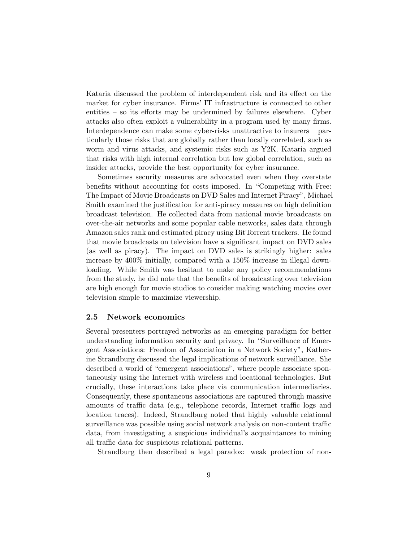Kataria discussed the problem of interdependent risk and its effect on the market for cyber insurance. Firms' IT infrastructure is connected to other entities – so its efforts may be undermined by failures elsewhere. Cyber attacks also often exploit a vulnerability in a program used by many firms. Interdependence can make some cyber-risks unattractive to insurers – particularly those risks that are globally rather than locally correlated, such as worm and virus attacks, and systemic risks such as Y2K. Kataria argued that risks with high internal correlation but low global correlation, such as insider attacks, provide the best opportunity for cyber insurance.

Sometimes security measures are advocated even when they overstate benefits without accounting for costs imposed. In "Competing with Free: The Impact of Movie Broadcasts on DVD Sales and Internet Piracy", Michael Smith examined the justification for anti-piracy measures on high definition broadcast television. He collected data from national movie broadcasts on over-the-air networks and some popular cable networks, sales data through Amazon sales rank and estimated piracy using BitTorrent trackers. He found that movie broadcasts on television have a significant impact on DVD sales (as well as piracy). The impact on DVD sales is strikingly higher: sales increase by 400% initially, compared with a 150% increase in illegal downloading. While Smith was hesitant to make any policy recommendations from the study, he did note that the benefits of broadcasting over television are high enough for movie studios to consider making watching movies over television simple to maximize viewership.

#### 2.5 Network economics

Several presenters portrayed networks as an emerging paradigm for better understanding information security and privacy. In "Surveillance of Emergent Associations: Freedom of Association in a Network Society", Katherine Strandburg discussed the legal implications of network surveillance. She described a world of "emergent associations", where people associate spontaneously using the Internet with wireless and locational technologies. But crucially, these interactions take place via communication intermediaries. Consequently, these spontaneous associations are captured through massive amounts of traffic data (e.g., telephone records, Internet traffic logs and location traces). Indeed, Strandburg noted that highly valuable relational surveillance was possible using social network analysis on non-content traffic data, from investigating a suspicious individual's acquaintances to mining all traffic data for suspicious relational patterns.

Strandburg then described a legal paradox: weak protection of non-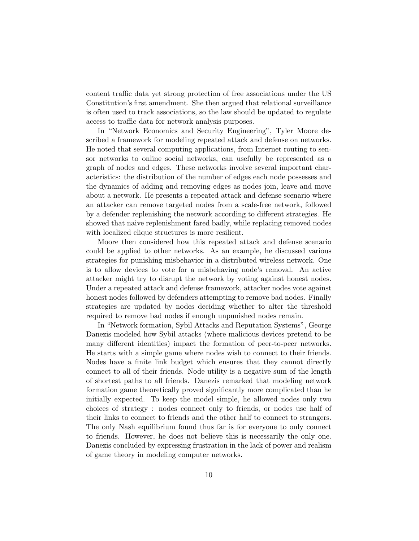content traffic data yet strong protection of free associations under the US Constitution's first amendment. She then argued that relational surveillance is often used to track associations, so the law should be updated to regulate access to traffic data for network analysis purposes.

In "Network Economics and Security Engineering", Tyler Moore described a framework for modeling repeated attack and defense on networks. He noted that several computing applications, from Internet routing to sensor networks to online social networks, can usefully be represented as a graph of nodes and edges. These networks involve several important characteristics: the distribution of the number of edges each node possesses and the dynamics of adding and removing edges as nodes join, leave and move about a network. He presents a repeated attack and defense scenario where an attacker can remove targeted nodes from a scale-free network, followed by a defender replenishing the network according to different strategies. He showed that naive replenishment fared badly, while replacing removed nodes with localized clique structures is more resilient.

Moore then considered how this repeated attack and defense scenario could be applied to other networks. As an example, he discussed various strategies for punishing misbehavior in a distributed wireless network. One is to allow devices to vote for a misbehaving node's removal. An active attacker might try to disrupt the network by voting against honest nodes. Under a repeated attack and defense framework, attacker nodes vote against honest nodes followed by defenders attempting to remove bad nodes. Finally strategies are updated by nodes deciding whether to alter the threshold required to remove bad nodes if enough unpunished nodes remain.

In "Network formation, Sybil Attacks and Reputation Systems", George Danezis modeled how Sybil attacks (where malicious devices pretend to be many different identities) impact the formation of peer-to-peer networks. He starts with a simple game where nodes wish to connect to their friends. Nodes have a finite link budget which ensures that they cannot directly connect to all of their friends. Node utility is a negative sum of the length of shortest paths to all friends. Danezis remarked that modeling network formation game theoretically proved significantly more complicated than he initially expected. To keep the model simple, he allowed nodes only two choices of strategy : nodes connect only to friends, or nodes use half of their links to connect to friends and the other half to connect to strangers. The only Nash equilibrium found thus far is for everyone to only connect to friends. However, he does not believe this is necessarily the only one. Danezis concluded by expressing frustration in the lack of power and realism of game theory in modeling computer networks.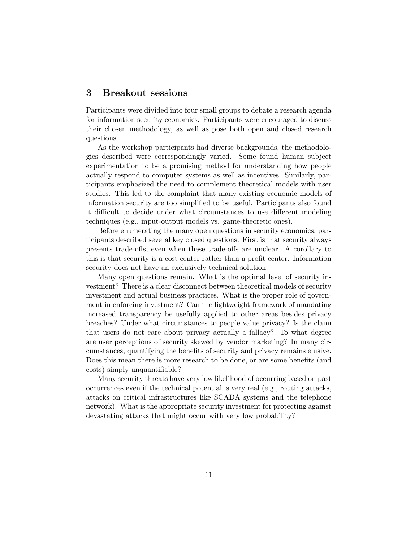### 3 Breakout sessions

Participants were divided into four small groups to debate a research agenda for information security economics. Participants were encouraged to discuss their chosen methodology, as well as pose both open and closed research questions.

As the workshop participants had diverse backgrounds, the methodologies described were correspondingly varied. Some found human subject experimentation to be a promising method for understanding how people actually respond to computer systems as well as incentives. Similarly, participants emphasized the need to complement theoretical models with user studies. This led to the complaint that many existing economic models of information security are too simplified to be useful. Participants also found it difficult to decide under what circumstances to use different modeling techniques (e.g., input-output models vs. game-theoretic ones).

Before enumerating the many open questions in security economics, participants described several key closed questions. First is that security always presents trade-offs, even when these trade-offs are unclear. A corollary to this is that security is a cost center rather than a profit center. Information security does not have an exclusively technical solution.

Many open questions remain. What is the optimal level of security investment? There is a clear disconnect between theoretical models of security investment and actual business practices. What is the proper role of government in enforcing investment? Can the lightweight framework of mandating increased transparency be usefully applied to other areas besides privacy breaches? Under what circumstances to people value privacy? Is the claim that users do not care about privacy actually a fallacy? To what degree are user perceptions of security skewed by vendor marketing? In many circumstances, quantifying the benefits of security and privacy remains elusive. Does this mean there is more research to be done, or are some benefits (and costs) simply unquantifiable?

Many security threats have very low likelihood of occurring based on past occurrences even if the technical potential is very real (e.g., routing attacks, attacks on critical infrastructures like SCADA systems and the telephone network). What is the appropriate security investment for protecting against devastating attacks that might occur with very low probability?